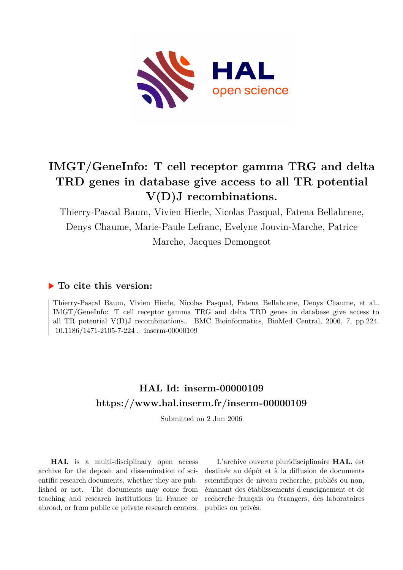

# **IMGT/GeneInfo: T cell receptor gamma TRG and delta TRD genes in database give access to all TR potential V(D)J recombinations.**

Thierry-Pascal Baum, Vivien Hierle, Nicolas Pasqual, Fatena Bellahcene, Denys Chaume, Marie-Paule Lefranc, Evelyne Jouvin-Marche, Patrice Marche, Jacques Demongeot

### **To cite this version:**

Thierry-Pascal Baum, Vivien Hierle, Nicolas Pasqual, Fatena Bellahcene, Denys Chaume, et al.. IMGT/GeneInfo: T cell receptor gamma TRG and delta TRD genes in database give access to all TR potential V(D)J recombinations.. BMC Bioinformatics, BioMed Central, 2006, 7, pp.224.  $10.1186/1471-2105-7-224$ . inserm-00000109

### **HAL Id: inserm-00000109 <https://www.hal.inserm.fr/inserm-00000109>**

Submitted on 2 Jun 2006

**HAL** is a multi-disciplinary open access archive for the deposit and dissemination of scientific research documents, whether they are published or not. The documents may come from teaching and research institutions in France or abroad, or from public or private research centers.

L'archive ouverte pluridisciplinaire **HAL**, est destinée au dépôt et à la diffusion de documents scientifiques de niveau recherche, publiés ou non, émanant des établissements d'enseignement et de recherche français ou étrangers, des laboratoires publics ou privés.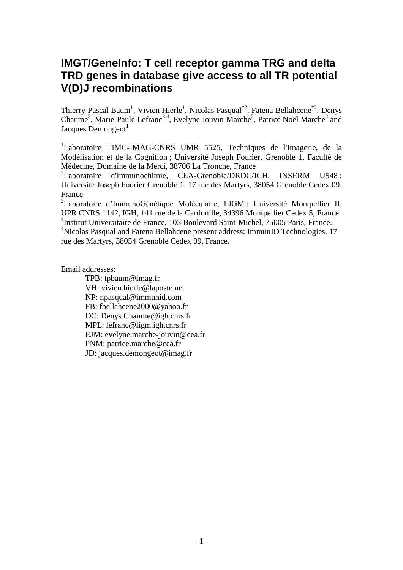### **IMGT/GeneInfo: T cell receptor gamma TRG and delta TRD genes in database give access to all TR potential V(D)J recombinations**

Thierry-Pascal Baum<sup>1</sup>, Vivien Hierle<sup>1</sup>, Nicolas Pasqual<sup>†2</sup>, Fatena Bellahcene<sup>†2</sup>, Denys Chaume<sup>3</sup>, Marie-Paule Lefranc<sup>3,4</sup>, Evelyne Jouvin-Marche<sup>2</sup>, Patrice Noël Marche<sup>2</sup> and Jacques Demongeot<sup>1</sup>

<sup>1</sup>Laboratoire TIMC-IMAG-CNRS UMR 5525, Techniques de l'Imagerie, de la Modélisation et de la Cognition ; Université Joseph Fourier, Grenoble 1, Faculté de Médecine, Domaine de la Merci, 38706 La Tronche, France

<sup>2</sup>Laboratoire d'Immunochimie, CEA-Grenoble/DRDC/ICH, INSERM U548; Université Joseph Fourier Grenoble 1, 17 rue des Martyrs, 38054 Grenoble Cedex 09, France

<sup>3</sup>Laboratoire d'ImmunoGénétique Moléculaire, LIGM ; Université Montpellier II, UPR CNRS 1142, IGH, 141 rue de la Cardonille, 34396 Montpellier Cedex 5, France <sup>4</sup>Institut Universitaire de France, 103 Boulevard Saint-Michel, 75005 Paris, France.

†Nicolas Pasqual and Fatena Bellahcene present address: ImmunID Technologies, 17 rue des Martyrs, 38054 Grenoble Cedex 09, France.

Email addresses:

TPB: tpbaum@imag.fr VH: vivien.hierle@laposte.net NP: npasqual@immunid.com FB: fbellahcene2000@yahoo.fr DC: Denys.Chaume@igh.cnrs.fr MPL: lefranc@ligm.igh.cnrs.fr EJM: evelyne.marche-jouvin@cea.fr PNM: patrice.marche@cea.fr JD: jacques.demongeot@imag.fr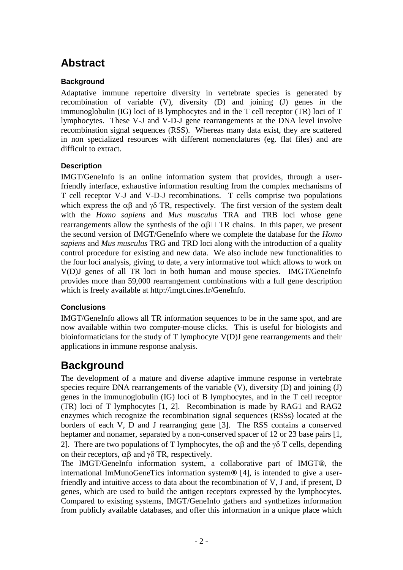# **Abstract**

### **Background**

Adaptative immune repertoire diversity in vertebrate species is generated by recombination of variable (V), diversity (D) and joining (J) genes in the immunoglobulin (IG) loci of B lymphocytes and in the T cell receptor (TR) loci of T lymphocytes. These V-J and V-D-J gene rearrangements at the DNA level involve recombination signal sequences (RSS). Whereas many data exist, they are scattered in non specialized resources with different nomenclatures (eg. flat files) and are difficult to extract.

### **Description**

IMGT/GeneInfo is an online information system that provides, through a userfriendly interface, exhaustive information resulting from the complex mechanisms of T cell receptor V-J and V-D-J recombinations. T cells comprise two populations which express the  $\alpha\beta$  and  $\gamma\delta$  TR, respectively. The first version of the system dealt with the *Homo sapiens* and *Mus musculus* TRA and TRB loci whose gene rearrangements allow the synthesis of the  $\alpha\beta$  TR chains. In this paper, we present the second version of IMGT/GeneInfo where we complete the database for the *Homo sapiens* and *Mus musculus* TRG and TRD loci along with the introduction of a quality control procedure for existing and new data. We also include new functionalities to the four loci analysis, giving, to date, a very informative tool which allows to work on V(D)J genes of all TR loci in both human and mouse species. IMGT/GeneInfo provides more than 59,000 rearrangement combinations with a full gene description which is freely available at http://imgt.cines.fr/GeneInfo.

### **Conclusions**

IMGT/GeneInfo allows all TR information sequences to be in the same spot, and are now available within two computer-mouse clicks. This is useful for biologists and bioinformaticians for the study of T lymphocyte V(D)J gene rearrangements and their applications in immune response analysis.

### **Background**

The development of a mature and diverse adaptive immune response in vertebrate species require DNA rearrangements of the variable (V), diversity (D) and joining (J) genes in the immunoglobulin (IG) loci of B lymphocytes, and in the T cell receptor (TR) loci of T lymphocytes [1, 2]. Recombination is made by RAG1 and RAG2 enzymes which recognize the recombination signal sequences (RSSs) located at the borders of each V, D and J rearranging gene [3]. The RSS contains a conserved heptamer and nonamer, separated by a non-conserved spacer of 12 or 23 base pairs [1, 2]. There are two populations of T lymphocytes, the  $\alpha\beta$  and the  $\gamma\delta$  T cells, depending on their receptors,  $\alpha\beta$  and  $\gamma\delta$  TR, respectively.

The IMGT/GeneInfo information system, a collaborative part of IMGT**®**, the international ImMunoGeneTics information system**®** [4], is intended to give a userfriendly and intuitive access to data about the recombination of V, J and, if present, D genes, which are used to build the antigen receptors expressed by the lymphocytes. Compared to existing systems, IMGT/GeneInfo gathers and synthetizes information from publicly available databases, and offer this information in a unique place which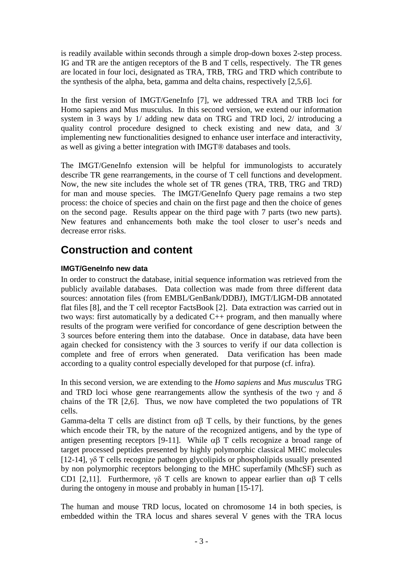is readily available within seconds through a simple drop-down boxes 2-step process. IG and TR are the antigen receptors of the B and T cells, respectively. The TR genes are located in four loci, designated as TRA, TRB, TRG and TRD which contribute to the synthesis of the alpha, beta, gamma and delta chains, respectively [2,5,6].

In the first version of IMGT/GeneInfo [7], we addressed TRA and TRB loci for Homo sapiens and Mus musculus. In this second version, we extend our information system in 3 ways by 1/ adding new data on TRG and TRD loci, 2/ introducing a quality control procedure designed to check existing and new data, and 3/ implementing new functionalities designed to enhance user interface and interactivity, as well as giving a better integration with IMGT® databases and tools.

The IMGT/GeneInfo extension will be helpful for immunologists to accurately describe TR gene rearrangements, in the course of T cell functions and development. Now, the new site includes the whole set of TR genes (TRA, TRB, TRG and TRD) for man and mouse species. The IMGT/GeneInfo Query page remains a two step process: the choice of species and chain on the first page and then the choice of genes on the second page. Results appear on the third page with 7 parts (two new parts). New features and enhancements both make the tool closer to user's needs and decrease error risks.

## **Construction and content**

### **IMGT/GeneInfo new data**

In order to construct the database, initial sequence information was retrieved from the publicly available databases. Data collection was made from three different data sources: annotation files (from EMBL/GenBank/DDBJ), IMGT/LIGM-DB annotated flat files [8], and the T cell receptor FactsBook [2]. Data extraction was carried out in two ways: first automatically by a dedicated  $C_{++}$  program, and then manually where results of the program were verified for concordance of gene description between the 3 sources before entering them into the database. Once in database, data have been again checked for consistency with the 3 sources to verify if our data collection is complete and free of errors when generated. Data verification has been made according to a quality control especially developed for that purpose (cf. infra).

In this second version, we are extending to the *Homo sapiens* and *Mus musculus* TRG and TRD loci whose gene rearrangements allow the synthesis of the two  $\gamma$  and  $\delta$ chains of the TR [2,6]. Thus, we now have completed the two populations of TR cells.

Gamma-delta T cells are distinct from  $\alpha\beta$  T cells, by their functions, by the genes which encode their TR, by the nature of the recognized antigens, and by the type of antigen presenting receptors [9-11]. While  $\alpha\beta$  T cells recognize a broad range of target processed peptides presented by highly polymorphic classical MHC molecules [12-14],  $\gamma\delta$  T cells recognize pathogen glycolipids or phospholipids usually presented by non polymorphic receptors belonging to the MHC superfamily (MhcSF) such as CD1 [2,11]. Furthermore,  $\gamma \delta$  T cells are known to appear earlier than  $\alpha \beta$  T cells during the ontogeny in mouse and probably in human [15-17].

The human and mouse TRD locus, located on chromosome 14 in both species, is embedded within the TRA locus and shares several V genes with the TRA locus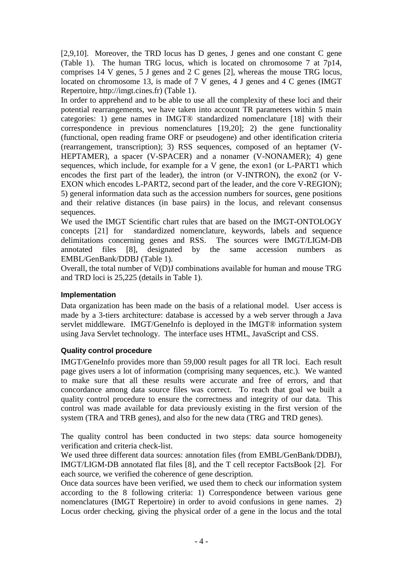[2,9,10]. Moreover, the TRD locus has D genes, J genes and one constant C gene (Table 1). The human TRG locus, which is located on chromosome 7 at 7p14, comprises 14 V genes, 5 J genes and 2 C genes [2], whereas the mouse TRG locus, located on chromosome 13, is made of 7 V genes, 4 J genes and 4 C genes (IMGT Repertoire, http://imgt.cines.fr) (Table 1).

In order to apprehend and to be able to use all the complexity of these loci and their potential rearrangements, we have taken into account TR parameters within 5 main categories: 1) gene names in IMGT® standardized nomenclature [18] with their correspondence in previous nomenclatures [19,20]; 2) the gene functionality (functional, open reading frame ORF or pseudogene) and other identification criteria (rearrangement, transcription); 3) RSS sequences, composed of an heptamer (V-HEPTAMER), a spacer (V-SPACER) and a nonamer (V-NONAMER); 4) gene sequences, which include, for example for a V gene, the exon1 (or L-PART1 which encodes the first part of the leader), the intron (or V-INTRON), the exon2 (or V-EXON which encodes L-PART2, second part of the leader, and the core V-REGION); 5) general information data such as the accession numbers for sources, gene positions and their relative distances (in base pairs) in the locus, and relevant consensus sequences.

We used the IMGT Scientific chart rules that are based on the IMGT-ONTOLOGY concepts [21] for standardized nomenclature, keywords, labels and sequence delimitations concerning genes and RSS. The sources were IMGT/LIGM-DB annotated files [8], designated by the same accession numbers as EMBL/GenBank/DDBJ (Table 1).

Overall, the total number of V(D)J combinations available for human and mouse TRG and TRD loci is 25,225 (details in Table 1).

#### **Implementation**

Data organization has been made on the basis of a relational model. User access is made by a 3-tiers architecture: database is accessed by a web server through a Java servlet middleware. IMGT/GeneInfo is deployed in the IMGT® information system using Java Servlet technology. The interface uses HTML, JavaScript and CSS.

#### **Quality control procedure**

IMGT/GeneInfo provides more than 59,000 result pages for all TR loci. Each result page gives users a lot of information (comprising many sequences, etc.). We wanted to make sure that all these results were accurate and free of errors, and that concordance among data source files was correct. To reach that goal we built a quality control procedure to ensure the correctness and integrity of our data. This control was made available for data previously existing in the first version of the system (TRA and TRB genes), and also for the new data (TRG and TRD genes).

The quality control has been conducted in two steps: data source homogeneity verification and criteria check-list.

We used three different data sources: annotation files (from EMBL/GenBank/DDBJ), IMGT/LIGM-DB annotated flat files [8], and the T cell receptor FactsBook [2]. For each source, we verified the coherence of gene description.

Once data sources have been verified, we used them to check our information system according to the 8 following criteria: 1) Correspondence between various gene nomenclatures (IMGT Repertoire) in order to avoid confusions in gene names. 2) Locus order checking, giving the physical order of a gene in the locus and the total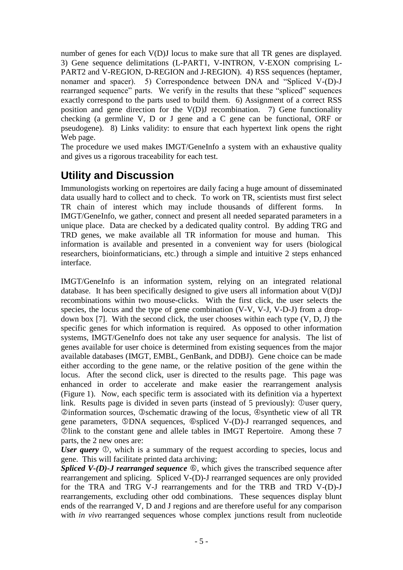number of genes for each V(D)J locus to make sure that all TR genes are displayed. 3) Gene sequence delimitations (L-PART1, V-INTRON, V-EXON comprising L-PART2 and V-REGION, D-REGION and J-REGION). 4) RSS sequences (heptamer, nonamer and spacer). 5) Correspondence between DNA and "Spliced V-(D)-J rearranged sequence" parts. We verify in the results that these "spliced" sequences exactly correspond to the parts used to build them. 6) Assignment of a correct RSS position and gene direction for the V(D)J recombination. 7) Gene functionality checking (a germline V, D or J gene and a C gene can be functional, ORF or pseudogene). 8) Links validity: to ensure that each hypertext link opens the right Web page.

The procedure we used makes IMGT/GeneInfo a system with an exhaustive quality and gives us a rigorous traceability for each test.

## **Utility and Discussion**

Immunologists working on repertoires are daily facing a huge amount of disseminated data usually hard to collect and to check. To work on TR, scientists must first select TR chain of interest which may include thousands of different forms. IMGT/GeneInfo, we gather, connect and present all needed separated parameters in a unique place. Data are checked by a dedicated quality control. By adding TRG and TRD genes, we make available all TR information for mouse and human. This information is available and presented in a convenient way for users (biological researchers, bioinformaticians, etc.) through a simple and intuitive 2 steps enhanced interface.

IMGT/GeneInfo is an information system, relying on an integrated relational database. It has been specifically designed to give users all information about  $V(D)J$ recombinations within two mouse-clicks. With the first click, the user selects the species, the locus and the type of gene combination (V-V, V-J, V-D-J) from a dropdown box [7]. With the second click, the user chooses within each type (V, D, J) the specific genes for which information is required. As opposed to other information systems, IMGT/GeneInfo does not take any user sequence for analysis. The list of genes available for user choice is determined from existing sequences from the major available databases (IMGT, EMBL, GenBank, and DDBJ). Gene choice can be made either according to the gene name, or the relative position of the gene within the locus. After the second click, user is directed to the results page. This page was enhanced in order to accelerate and make easier the rearrangement analysis (Figure 1). Now, each specific term is associated with its definition via a hypertext link. Results page is divided in seven parts (instead of 5 previously): Ouser query,  $\oslash$  information sources,  $\oslash$  schematic drawing of the locus,  $\oslash$  synthetic view of all TR gene parameters, **ODNA** sequences, **O**spliced V-(D)-J rearranged sequences, and  $\oslash$  Dink to the constant gene and allele tables in IMGT Repertoire. Among these 7 parts, the 2 new ones are:

*User query*  $\Phi$ , which is a summary of the request according to species, locus and gene. This will facilitate printed data archiving;

*Spliced V-(D)-J rearranged sequence*  $\circledcirc$ , which gives the transcribed sequence after rearrangement and splicing. Spliced V-(D)-J rearranged sequences are only provided for the TRA and TRG V-J rearrangements and for the TRB and TRD V-(D)-J rearrangements, excluding other odd combinations. These sequences display blunt ends of the rearranged V, D and J regions and are therefore useful for any comparison with *in vivo* rearranged sequences whose complex junctions result from nucleotide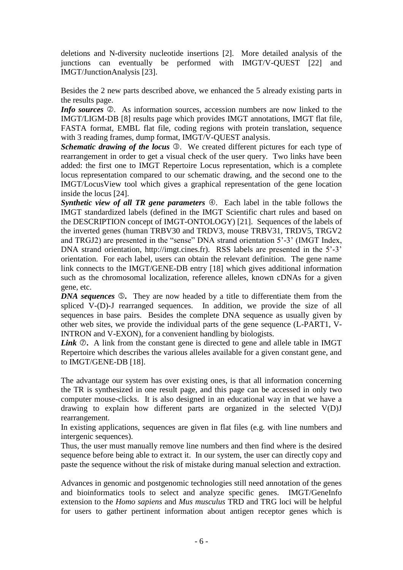deletions and N-diversity nucleotide insertions [2]. More detailed analysis of the iunctions can eventually be performed with IMGT/V-QUEST [22] and IMGT/JunctionAnalysis [23].

Besides the 2 new parts described above, we enhanced the 5 already existing parts in the results page.

*Info sources* 2. As information sources, accession numbers are now linked to the IMGT/LIGM-DB [8] results page which provides IMGT annotations, IMGT flat file, FASTA format, EMBL flat file, coding regions with protein translation, sequence with 3 reading frames, dump format, IMGT/V-QUEST analysis.

*Schematic drawing of the locus .* We created different pictures for each type of rearrangement in order to get a visual check of the user query. Two links have been added: the first one to IMGT Repertoire Locus representation, which is a complete locus representation compared to our schematic drawing, and the second one to the IMGT/LocusView tool which gives a graphical representation of the gene location inside the locus [24].

*Synthetic view of all TR gene parameters 4.* Each label in the table follows the IMGT standardized labels (defined in the IMGT Scientific chart rules and based on the DESCRIPTION concept of IMGT-ONTOLOGY) [21]. Sequences of the labels of the inverted genes (human TRBV30 and TRDV3, mouse TRBV31, TRDV5, TRGV2 and TRGJ2) are presented in the "sense" DNA strand orientation 5'-3' (IMGT Index, DNA strand orientation, http://imgt.cines.fr). RSS labels are presented in the 5'-3' orientation. For each label, users can obtain the relevant definition. The gene name link connects to the IMGT/GENE-DB entry [18] which gives additional information such as the chromosomal localization, reference alleles, known cDNAs for a given gene, etc.

*DNA sequences*  $\circ$ **.** They are now headed by a title to differentiate them from the spliced V-(D)-J rearranged sequences. In addition, we provide the size of all sequences in base pairs. Besides the complete DNA sequence as usually given by other web sites, we provide the individual parts of the gene sequence (L-PART1, V-INTRON and V-EXON), for a convenient handling by biologists.

Link  $\oslash$ . A link from the constant gene is directed to gene and allele table in IMGT Repertoire which describes the various alleles available for a given constant gene, and to IMGT/GENE-DB [18].

The advantage our system has over existing ones, is that all information concerning the TR is synthesized in one result page, and this page can be accessed in only two computer mouse-clicks. It is also designed in an educational way in that we have a drawing to explain how different parts are organized in the selected V(D)J rearrangement.

In existing applications, sequences are given in flat files (e.g. with line numbers and intergenic sequences).

Thus, the user must manually remove line numbers and then find where is the desired sequence before being able to extract it. In our system, the user can directly copy and paste the sequence without the risk of mistake during manual selection and extraction.

Advances in genomic and postgenomic technologies still need annotation of the genes and bioinformatics tools to select and analyze specific genes. IMGT/GeneInfo extension to the *Homo sapiens* and *Mus musculus* TRD and TRG loci will be helpful for users to gather pertinent information about antigen receptor genes which is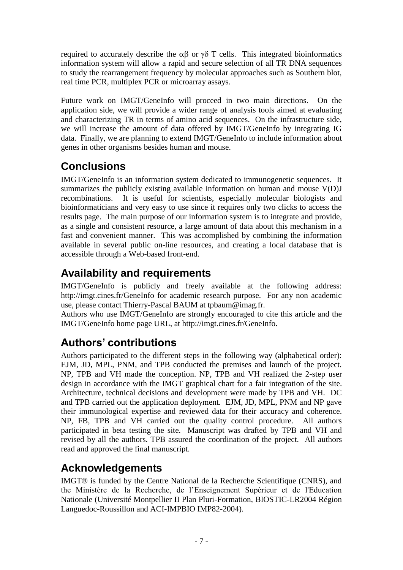required to accurately describe the  $\alpha\beta$  or  $\gamma\delta$  T cells. This integrated bioinformatics information system will allow a rapid and secure selection of all TR DNA sequences to study the rearrangement frequency by molecular approaches such as Southern blot, real time PCR, multiplex PCR or microarray assays.

Future work on IMGT/GeneInfo will proceed in two main directions. On the application side, we will provide a wider range of analysis tools aimed at evaluating and characterizing TR in terms of amino acid sequences. On the infrastructure side, we will increase the amount of data offered by IMGT/GeneInfo by integrating IG data. Finally, we are planning to extend IMGT/GeneInfo to include information about genes in other organisms besides human and mouse.

# **Conclusions**

IMGT/GeneInfo is an information system dedicated to immunogenetic sequences. It summarizes the publicly existing available information on human and mouse V(D)J recombinations. It is useful for scientists, especially molecular biologists and bioinformaticians and very easy to use since it requires only two clicks to access the results page. The main purpose of our information system is to integrate and provide, as a single and consistent resource, a large amount of data about this mechanism in a fast and convenient manner. This was accomplished by combining the information available in several public on-line resources, and creating a local database that is accessible through a Web-based front-end.

## **Availability and requirements**

IMGT/GeneInfo is publicly and freely available at the following address: http://imgt.cines.fr/GeneInfo for academic research purpose. For any non academic use, please contact Thierry-Pascal BAUM at tpbaum@imag.fr.

Authors who use IMGT/GeneInfo are strongly encouraged to cite this article and the IMGT/GeneInfo home page URL, at http://imgt.cines.fr/GeneInfo.

## **Authors' contributions**

Authors participated to the different steps in the following way (alphabetical order): EJM, JD, MPL, PNM, and TPB conducted the premises and launch of the project. NP, TPB and VH made the conception. NP, TPB and VH realized the 2-step user design in accordance with the IMGT graphical chart for a fair integration of the site. Architecture, technical decisions and development were made by TPB and VH. DC and TPB carried out the application deployment. EJM, JD, MPL, PNM and NP gave their immunological expertise and reviewed data for their accuracy and coherence. NP, FB, TPB and VH carried out the quality control procedure. All authors participated in beta testing the site. Manuscript was drafted by TPB and VH and revised by all the authors. TPB assured the coordination of the project. All authors read and approved the final manuscript.

## **Acknowledgements**

IMGT® is funded by the Centre National de la Recherche Scientifique (CNRS), and the Ministère de la Recherche, de l'Enseignement Supérieur et de l'Education Nationale (Université Montpellier II Plan Pluri-Formation, BIOSTIC-LR2004 Région Languedoc-Roussillon and ACI-IMPBIO IMP82-2004).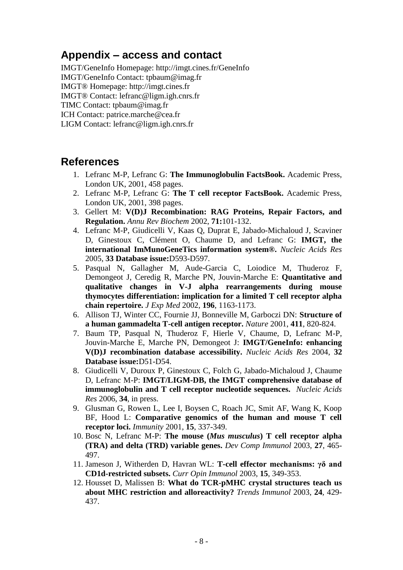### **Appendix – access and contact**

IMGT/GeneInfo Homepage: http://imgt.cines.fr/GeneInfo IMGT/GeneInfo Contact: tpbaum@imag.fr IMGT® Homepage: http://imgt.cines.fr IMGT® Contact: lefranc@ligm.igh.cnrs.fr TIMC Contact: tpbaum@imag.fr ICH Contact: patrice.marche@cea.fr LIGM Contact: lefranc@ligm.igh.cnrs.fr

### **References**

- 1. Lefranc M-P, Lefranc G: **The Immunoglobulin FactsBook.** Academic Press, London UK, 2001, 458 pages.
- 2. Lefranc M-P, Lefranc G: **The T cell receptor FactsBook.** Academic Press, London UK, 2001, 398 pages.
- 3. Gellert M: **V(D)J Recombination: RAG Proteins, Repair Factors, and Regulation.** *Annu Rev Biochem* 2002, **71:**101-132.
- 4. Lefranc M-P, Giudicelli V, Kaas Q, Duprat E, Jabado-Michaloud J, Scaviner D, Ginestoux C, Clément O, Chaume D, and Lefranc G: **IMGT, the international ImMunoGeneTics information system®.** *Nucleic Acids Res* 2005, **33 Database issue:**D593-D597.
- 5. Pasqual N, Gallagher M, Aude-Garcia C, Loiodice M, Thuderoz F, Demongeot J, Ceredig R, Marche PN, Jouvin-Marche E: **Quantitative and qualitative changes in V-J alpha rearrangements during mouse thymocytes differentiation: implication for a limited T cell receptor alpha chain repertoire.** *J Exp Med* 2002, **196**, 1163-1173.
- 6. Allison TJ, Winter CC, Fournie JJ, Bonneville M, Garboczi DN: **Structure of a human gammadelta T-cell antigen receptor.** *Nature* 2001, **411**, 820-824.
- 7. Baum TP, Pasqual N, Thuderoz F, Hierle V, Chaume, D, Lefranc M-P, Jouvin-Marche E, Marche PN, Demongeot J: **IMGT/GeneInfo: enhancing V(D)J recombination database accessibility.** *Nucleic Acids Res* 2004, **32 Database issue:**D51-D54.
- 8. Giudicelli V, Duroux P, Ginestoux C, Folch G, Jabado-Michaloud J, Chaume D, Lefranc M-P: **IMGT/LIGM-DB, the IMGT comprehensive database of immunoglobulin and T cell receptor nucleotide sequences.** *Nucleic Acids Res* 2006, **34**, in press.
- 9. Glusman G, Rowen L, Lee I, Boysen C, Roach JC, Smit AF, Wang K, Koop BF, Hood L: **Comparative genomics of the human and mouse T cell receptor loci.** *Immunity* 2001, **15**, 337-349.
- 10. Bosc N, Lefranc M-P: **The mouse (***Mus musculus***) T cell receptor alpha (TRA) and delta (TRD) variable genes.** *Dev Comp Immunol* 2003, **27**, 465- 497.
- 11. Jameson J, Witherden D, Havran WL: **T-cell effector mechanisms: γδ and CD1d-restricted subsets.** *Curr Opin Immunol* 2003, **15**, 349-353.
- 12. Housset D, Malissen B: **What do TCR-pMHC crystal structures teach us about MHC restriction and alloreactivity?** *Trends Immunol* 2003, **24**, 429- 437.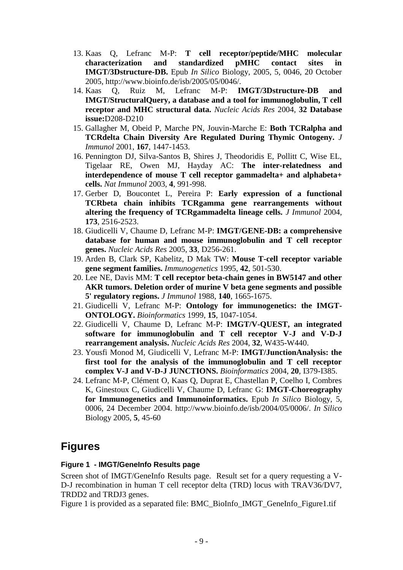- 13. Kaas Q, Lefranc M-P: **T cell receptor/peptide/MHC molecular characterization and standardized pMHC contact sites in IMGT/3Dstructure-DB.** Epub *In Silico* Biology, 2005, 5, 0046, 20 October 2005, http://www.bioinfo.de/isb/2005/05/0046/.
- 14. Kaas Q, Ruiz M, Lefranc M-P: **IMGT/3Dstructure-DB and IMGT/StructuralQuery, a database and a tool for immunoglobulin, T cell receptor and MHC structural data.** *Nucleic Acids Res* 2004, **32 Database issue:**D208-D210
- 15. Gallagher M, Obeid P, Marche PN, Jouvin-Marche E: **Both TCRalpha and TCRdelta Chain Diversity Are Regulated During Thymic Ontogeny.** *J Immunol* 2001, **167**, 1447-1453.
- 16. Pennington DJ, Silva-Santos B, Shires J, Theodoridis E, Pollitt C, Wise EL, Tigelaar RE, Owen MJ, Hayday AC: **The inter-relatedness and interdependence of mouse T cell receptor gammadelta+ and alphabeta+ cells.** *Nat Immunol* 2003, **4**, 991-998.
- 17. Gerber D, Boucontet L, Pereira P: **Early expression of a functional TCRbeta chain inhibits TCRgamma gene rearrangements without altering the frequency of TCRgammadelta lineage cells.** *J Immunol* 2004, **173**, 2516-2523.
- 18. Giudicelli V, Chaume D, Lefranc M-P: **IMGT/GENE-DB: a comprehensive database for human and mouse immunoglobulin and T cell receptor genes.** *Nucleic Acids Res* 2005, **33**, D256-261.
- 19. Arden B, Clark SP, Kabelitz, D Mak TW: **Mouse T-cell receptor variable gene segment families.** *Immunogenetics* 1995, **42**, 501-530.
- 20. Lee NE, Davis MM: **T cell receptor beta-chain genes in BW5147 and other AKR tumors. Deletion order of murine V beta gene segments and possible 5' regulatory regions.** *J Immunol* 1988, **140**, 1665-1675.
- 21. Giudicelli V, Lefranc M-P: **Ontology for immunogenetics: the IMGT-ONTOLOGY.** *Bioinformatics* 1999, **15**, 1047-1054.
- 22. Giudicelli V, Chaume D, Lefranc M-P: **IMGT/V-QUEST, an integrated software for immunoglobulin and T cell receptor V-J and V-D-J rearrangement analysis.** *Nucleic Acids Res* 2004, **32**, W435-W440.
- 23. Yousfi Monod M, Giudicelli V, Lefranc M-P: **IMGT/JunctionAnalysis: the first tool for the analysis of the immunoglobulin and T cell receptor complex V-J and V-D-J JUNCTIONS.** *Bioinformatics* 2004, **20**, I379-I385.
- 24. Lefranc M-P, Clément O, Kaas Q, Duprat E, Chastellan P, Coelho I, Combres K, Ginestoux C, Giudicelli V, Chaume D, Lefranc G: **IMGT-Choreography for Immunogenetics and Immunoinformatics.** Epub *In Silico* Biology, 5, 0006, 24 December 2004. http://www.bioinfo.de/isb/2004/05/0006/. *In Silico* Biology 2005, **5**, 45-60

## **Figures**

#### **Figure 1 - IMGT/GeneInfo Results page**

Screen shot of IMGT/GeneInfo Results page. Result set for a query requesting a V-D-J recombination in human T cell receptor delta (TRD) locus with TRAV36/DV7, TRDD2 and TRDJ3 genes.

Figure 1 is provided as a separated file: BMC\_BioInfo\_IMGT\_GeneInfo\_Figure1.tif